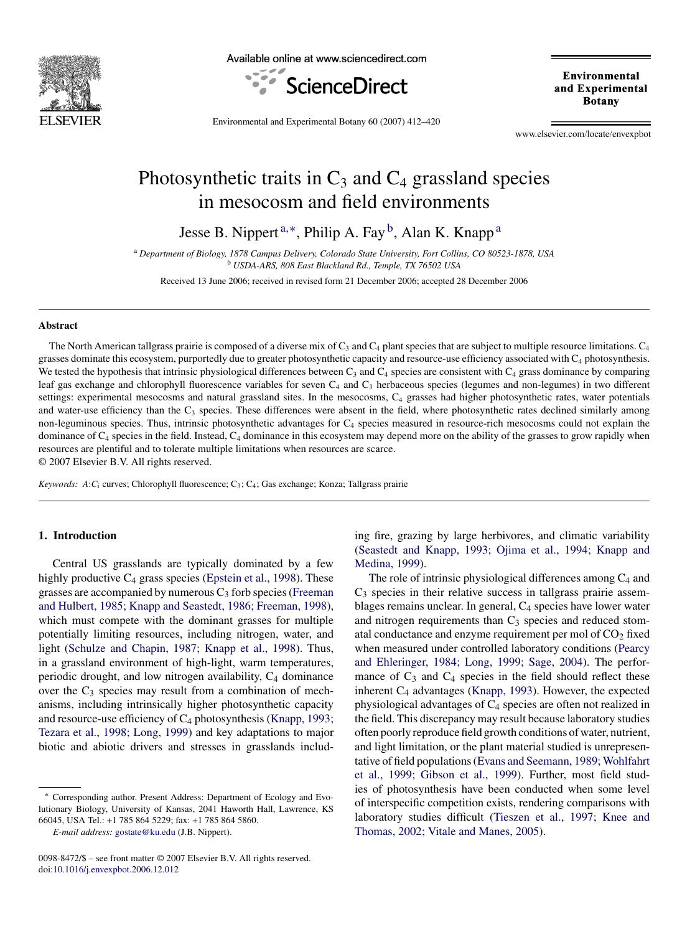

Available online at www.sciencedirect.com



Environmental and Experimental **Botany** 

Environmental and Experimental Botany 60 (2007) 412–420

www.elsevier.com/locate/envexpbot

# Photosynthetic traits in  $C_3$  and  $C_4$  grassland species in mesocosm and field environments

Jesse B. Nippert<sup>a,\*</sup>, Philip A. Fay<sup>b</sup>, Alan K. Knapp<sup>a</sup>

<sup>a</sup> *Department of Biology, 1878 Campus Delivery, Colorado State University, Fort Collins, CO 80523-1878, USA* <sup>b</sup> *USDA-ARS, 808 East Blackland Rd., Temple, TX 76502 USA*

Received 13 June 2006; received in revised form 21 December 2006; accepted 28 December 2006

#### **Abstract**

The North American tallgrass prairie is composed of a diverse mix of  $C_3$  and  $C_4$  plant species that are subject to multiple resource limitations.  $C_4$ grasses dominate this ecosystem, purportedly due to greater photosynthetic capacity and resource-use efficiency associated with C4 photosynthesis. We tested the hypothesis that intrinsic physiological differences between  $C_3$  and  $C_4$  species are consistent with  $C_4$  grass dominance by comparing leaf gas exchange and chlorophyll fluorescence variables for seven C<sub>4</sub> and C<sub>3</sub> herbaceous species (legumes and non-legumes) in two different settings: experimental mesocosms and natural grassland sites. In the mesocosms,  $C_4$  grasses had higher photosynthetic rates, water potentials and water-use efficiency than the  $C_3$  species. These differences were absent in the field, where photosynthetic rates declined similarly among non-leguminous species. Thus, intrinsic photosynthetic advantages for C4 species measured in resource-rich mesocosms could not explain the dominance of  $C_4$  species in the field. Instead,  $C_4$  dominance in this ecosystem may depend more on the ability of the grasses to grow rapidly when resources are plentiful and to tolerate multiple limitations when resources are scarce.

© 2007 Elsevier B.V. All rights reserved.

*Keywords: A*:*C*<sup>i</sup> curves; Chlorophyll fluorescence; C3; C4; Gas exchange; Konza; Tallgrass prairie

# **1. Introduction**

Central US grasslands are typically dominated by a few highly productive  $C_4$  grass species ([Epstein et al., 1998\).](#page-8-0) These grasses are accompanied by numerous  $C_3$  forb species [\(Freeman](#page-8-0) [and Hulbert, 1985; Knapp and Seastedt, 1986; Freeman, 1998\),](#page-8-0) which must compete with the dominant grasses for multiple potentially limiting resources, including nitrogen, water, and light [\(Schulze and Chapin, 1987; Knapp et al., 1998\).](#page-8-0) Thus, in a grassland environment of high-light, warm temperatures, periodic drought, and low nitrogen availability,  $C_4$  dominance over the  $C_3$  species may result from a combination of mechanisms, including intrinsically higher photosynthetic capacity and resource-use efficiency of  $C_4$  photosynthesis [\(Knapp, 1993;](#page-8-0) [Tezara et al., 1998; Long, 1999\)](#page-8-0) and key adaptations to major biotic and abiotic drivers and stresses in grasslands including fire, grazing by large herbivores, and climatic variability [\(Seastedt and Knapp, 1993; Ojima et al., 1994; Knapp and](#page-8-0) [Medina, 1999\).](#page-8-0)

The role of intrinsic physiological differences among  $C_4$  and  $C_3$  species in their relative success in tallgrass prairie assemblages remains unclear. In general, C<sub>4</sub> species have lower water and nitrogen requirements than  $C_3$  species and reduced stomatal conductance and enzyme requirement per mol of  $CO<sub>2</sub>$  fixed when measured under controlled laboratory conditions ([Pearcy](#page-8-0) [and Ehleringer, 1984; Long, 1999; Sage, 2004\).](#page-8-0) The performance of  $C_3$  and  $C_4$  species in the field should reflect these inherent  $C_4$  advantages [\(Knapp, 1993\).](#page-8-0) However, the expected physiological advantages of  $C_4$  species are often not realized in the field. This discrepancy may result because laboratory studies often poorly reproduce field growth conditions of water, nutrient, and light limitation, or the plant material studied is unrepresentative of field populations [\(Evans and Seemann, 1989; Wohlfahrt](#page-8-0) [et al., 1999; Gibson et al., 1999\).](#page-8-0) Further, most field studies of photosynthesis have been conducted when some level of interspecific competition exists, rendering comparisons with laboratory studies difficult ([Tieszen et al., 1997; Knee and](#page-8-0) [Thomas, 2002; Vitale and Manes, 2005\).](#page-8-0)

<sup>∗</sup> Corresponding author. Present Address: Department of Ecology and Evolutionary Biology, University of Kansas, 2041 Haworth Hall, Lawrence, KS 66045, USA Tel.: +1 785 864 5229; fax: +1 785 864 5860.

*E-mail address:* [gostate@ku.edu](mailto:gostate@ku.edu) (J.B. Nippert).

<sup>0098-8472/\$ –</sup> see front matter © 2007 Elsevier B.V. All rights reserved. doi[:10.1016/j.envexpbot.2006.12.012](dx.doi.org/10.1016/j.envexpbot.2006.12.012)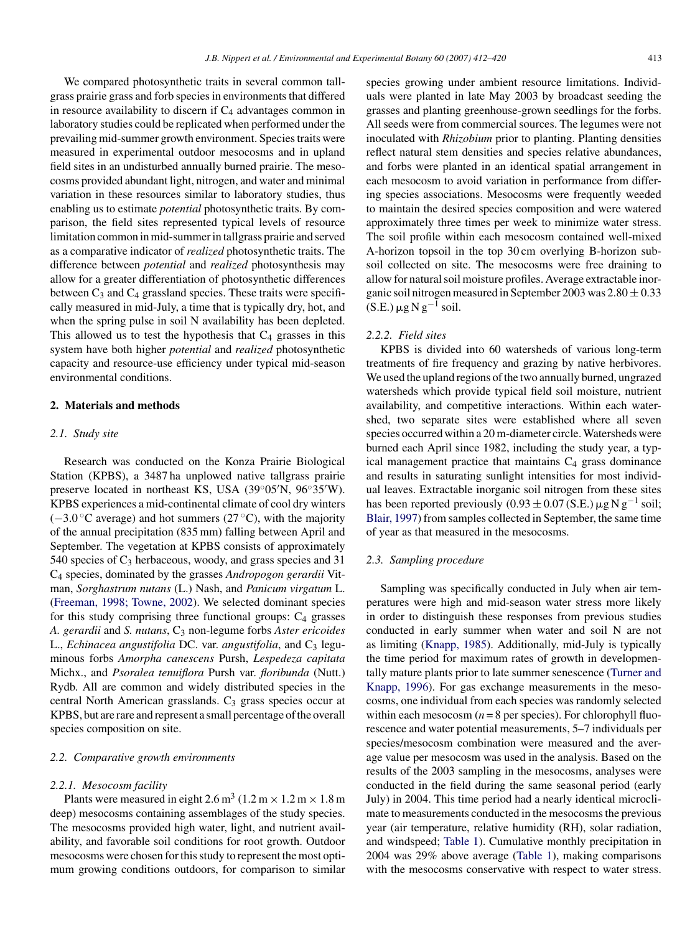We compared photosynthetic traits in several common tallgrass prairie grass and forb species in environments that differed in resource availability to discern if  $C_4$  advantages common in laboratory studies could be replicated when performed under the prevailing mid-summer growth environment. Species traits were measured in experimental outdoor mesocosms and in upland field sites in an undisturbed annually burned prairie. The mesocosms provided abundant light, nitrogen, and water and minimal variation in these resources similar to laboratory studies, thus enabling us to estimate *potential* photosynthetic traits. By comparison, the field sites represented typical levels of resource limitation common in mid-summer in tallgrass prairie and served as a comparative indicator of *realized* photosynthetic traits. The difference between *potential* and *realized* photosynthesis may allow for a greater differentiation of photosynthetic differences between  $C_3$  and  $C_4$  grassland species. These traits were specifically measured in mid-July, a time that is typically dry, hot, and when the spring pulse in soil N availability has been depleted. This allowed us to test the hypothesis that  $C_4$  grasses in this system have both higher *potential* and *realized* photosynthetic capacity and resource-use efficiency under typical mid-season environmental conditions.

## **2. Materials and methods**

### *2.1. Study site*

Research was conducted on the Konza Prairie Biological Station (KPBS), a 3487 ha unplowed native tallgrass prairie preserve located in northeast KS, USA (39°05′N, 96°35′W). KPBS experiences a mid-continental climate of cool dry winters  $(-3.0 \degree C$  average) and hot summers (27 °C), with the majority of the annual precipitation (835 mm) falling between April and September. The vegetation at KPBS consists of approximately 540 species of  $C_3$  herbaceous, woody, and grass species and 31 C4 species, dominated by the grasses *Andropogon gerardii* Vitman, *Sorghastrum nutans* (L.) Nash, and *Panicum virgatum* L. ([Freeman, 1998; Towne, 2002\).](#page-8-0) We selected dominant species for this study comprising three functional groups:  $C_4$  grasses *A. gerardii* and *S. nutans*, C3 non-legume forbs *Aster ericoides* L., *Echinacea angustifolia* DC. var. *angustifolia*, and C<sub>3</sub> leguminous forbs *Amorpha canescens* Pursh, *Lespedeza capitata* Michx., and *Psoralea tenuiflora* Pursh var. *floribunda* (Nutt.) Rydb. All are common and widely distributed species in the central North American grasslands.  $C_3$  grass species occur at KPBS, but are rare and represent a small percentage of the overall species composition on site.

## *2.2. Comparative growth environments*

#### *2.2.1. Mesocosm facility*

Plants were measured in eight  $2.6 \text{ m}^3$  (1.2 m  $\times$  1.2 m  $\times$  1.8 m deep) mesocosms containing assemblages of the study species. The mesocosms provided high water, light, and nutrient availability, and favorable soil conditions for root growth. Outdoor mesocosms were chosen for this study to represent the most optimum growing conditions outdoors, for comparison to similar species growing under ambient resource limitations. Individuals were planted in late May 2003 by broadcast seeding the grasses and planting greenhouse-grown seedlings for the forbs. All seeds were from commercial sources. The legumes were not inoculated with *Rhizobium* prior to planting. Planting densities reflect natural stem densities and species relative abundances, and forbs were planted in an identical spatial arrangement in each mesocosm to avoid variation in performance from differing species associations. Mesocosms were frequently weeded to maintain the desired species composition and were watered approximately three times per week to minimize water stress. The soil profile within each mesocosm contained well-mixed A-horizon topsoil in the top 30 cm overlying B-horizon subsoil collected on site. The mesocosms were free draining to allow for natural soil moisture profiles. Average extractable inorganic soil nitrogen measured in September 2003 was  $2.80 \pm 0.33$ (S.E.)  $\mu$ g N g<sup>−1</sup> soil.

## *2.2.2. Field sites*

KPBS is divided into 60 watersheds of various long-term treatments of fire frequency and grazing by native herbivores. We used the upland regions of the two annually burned, ungrazed watersheds which provide typical field soil moisture, nutrient availability, and competitive interactions. Within each watershed, two separate sites were established where all seven species occurred within a 20 m-diameter circle. Watersheds were burned each April since 1982, including the study year, a typical management practice that maintains  $C_4$  grass dominance and results in saturating sunlight intensities for most individual leaves. Extractable inorganic soil nitrogen from these sites has been reported previously  $(0.93 \pm 0.07$  (S.E.)  $\mu$ g N g<sup>-1</sup> soil; [Blair, 1997\)](#page-8-0) from samples collected in September, the same time of year as that measured in the mesocosms.

# *2.3. Sampling procedure*

Sampling was specifically conducted in July when air temperatures were high and mid-season water stress more likely in order to distinguish these responses from previous studies conducted in early summer when water and soil N are not as limiting ([Knapp, 1985\).](#page-8-0) Additionally, mid-July is typically the time period for maximum rates of growth in developmentally mature plants prior to late summer senescence [\(Turner and](#page-8-0) [Knapp, 1996\).](#page-8-0) For gas exchange measurements in the mesocosms, one individual from each species was randomly selected within each mesocosm  $(n = 8$  per species). For chlorophyll fluorescence and water potential measurements, 5–7 individuals per species/mesocosm combination were measured and the average value per mesocosm was used in the analysis. Based on the results of the 2003 sampling in the mesocosms, analyses were conducted in the field during the same seasonal period (early July) in 2004. This time period had a nearly identical microclimate to measurements conducted in the mesocosms the previous year (air temperature, relative humidity (RH), solar radiation, and windspeed; [Table 1\).](#page-2-0) Cumulative monthly precipitation in 2004 was 29% above average ([Table 1\),](#page-2-0) making comparisons with the mesocosms conservative with respect to water stress.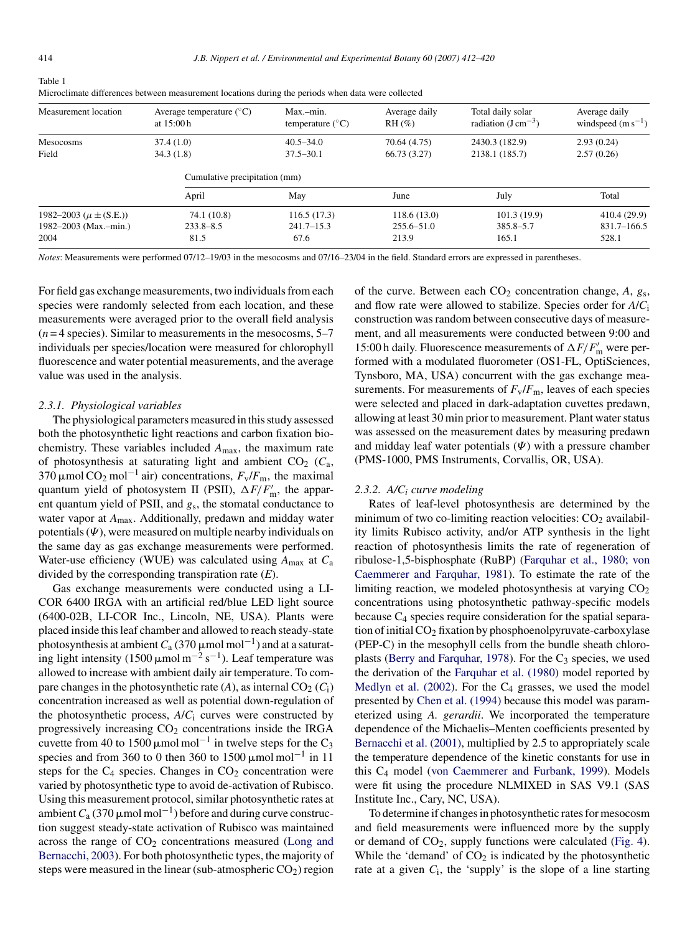<span id="page-2-0"></span>Table 1

| Measurement location           | Average temperature $({}^{\circ}C)$<br>at $15:00h$ | Max.-min.<br>temperature $(^{\circ}C)$ | Average daily<br>$RH(\%)$ | Total daily solar<br>radiation $(J \text{ cm}^{-3})$ | Average daily<br>windspeed $(m s^{-1})$ |  |
|--------------------------------|----------------------------------------------------|----------------------------------------|---------------------------|------------------------------------------------------|-----------------------------------------|--|
| Mesocosms                      | 37.4(1.0)                                          | $40.5 - 34.0$                          | 70.64 (4.75)              | 2430.3 (182.9)                                       | 2.93(0.24)                              |  |
| Field                          | 34.3(1.8)                                          | $37.5 - 30.1$                          | 66.73 (3.27)              | 2138.1 (185.7)                                       | 2.57(0.26)                              |  |
|                                | Cumulative precipitation (mm)                      |                                        |                           |                                                      |                                         |  |
|                                | April                                              | May                                    | June                      | July                                                 | Total                                   |  |
| 1982–2003 ( $\mu \pm (S.E.)$ ) | 74.1 (10.8)                                        | 116.5(17.3)                            | 118.6(13.0)               | 101.3(19.9)                                          | 410.4(29.9)                             |  |
| 1982–2003 (Max.-min.)          | $233.8 - 8.5$                                      | $241.7 - 15.3$                         | $255.6 - 51.0$            | 385.8–5.7                                            | 831.7–166.5                             |  |
| 2004                           | 81.5                                               | 67.6                                   | 213.9                     | 165.1                                                | 528.1                                   |  |

| Microclimate differences between measurement locations during the periods when data were collected |  |  |
|----------------------------------------------------------------------------------------------------|--|--|
|                                                                                                    |  |  |

*Notes*: Measurements were performed 07/12–19/03 in the mesocosms and 07/16–23/04 in the field. Standard errors are expressed in parentheses.

For field gas exchange measurements, two individuals from each species were randomly selected from each location, and these measurements were averaged prior to the overall field analysis  $(n=4$  species). Similar to measurements in the mesocosms,  $5-7$ individuals per species/location were measured for chlorophyll fluorescence and water potential measurements, and the average value was used in the analysis.

#### *2.3.1. Physiological variables*

The physiological parameters measured in this study assessed both the photosynthetic light reactions and carbon fixation biochemistry. These variables included *A*max, the maximum rate of photosynthesis at saturating light and ambient  $CO<sub>2</sub>$  ( $C<sub>a</sub>$ , 370  $\mu$ mol CO<sub>2</sub> mol<sup>-1</sup> air) concentrations,  $F_v/F_m$ , the maximal quantum yield of photosystem II (PSII),  $\Delta F/F'_{\rm m}$ , the apparent quantum yield of PSII, and *g*s, the stomatal conductance to water vapor at *A*max. Additionally, predawn and midday water potentials  $(\Psi)$ , were measured on multiple nearby individuals on the same day as gas exchange measurements were performed. Water-use efficiency (WUE) was calculated using *A*max at *C*<sup>a</sup> divided by the corresponding transpiration rate (*E*).

Gas exchange measurements were conducted using a LI-COR 6400 IRGA with an artificial red/blue LED light source (6400-02B, LI-COR Inc., Lincoln, NE, USA). Plants were placed inside this leaf chamber and allowed to reach steady-state photosynthesis at ambient  $C_a$  (370  $\mu$ mol mol $^{-1}$ ) and at a saturating light intensity (1500  $\mu$ mol m<sup>-2</sup> s<sup>-1</sup>). Leaf temperature was allowed to increase with ambient daily air temperature. To compare changes in the photosynthetic rate  $(A)$ , as internal  $CO<sub>2</sub>(C<sub>i</sub>)$ concentration increased as well as potential down-regulation of the photosynthetic process, *A*/*C*<sup>i</sup> curves were constructed by progressively increasing  $CO<sub>2</sub>$  concentrations inside the IRGA cuvette from 40 to 1500  $\mu$ mol mol<sup>-1</sup> in twelve steps for the C<sub>3</sub> species and from 360 to 0 then 360 to 1500  $\mu$ mol mol<sup>-1</sup> in 11 steps for the  $C_4$  species. Changes in  $CO_2$  concentration were varied by photosynthetic type to avoid de-activation of Rubisco. Using this measurement protocol, similar photosynthetic rates at ambient  $C_a$  (370 µmol mol<sup>-1</sup>) before and during curve construction suggest steady-state activation of Rubisco was maintained across the range of  $CO<sub>2</sub>$  concentrations measured ([Long and](#page-8-0) [Bernacchi, 2003\).](#page-8-0) For both photosynthetic types, the majority of steps were measured in the linear (sub-atmospheric  $CO<sub>2</sub>$ ) region of the curve. Between each  $CO<sub>2</sub>$  concentration change,  $A$ ,  $g<sub>s</sub>$ , and flow rate were allowed to stabilize. Species order for *A*/*C*<sup>i</sup> construction was random between consecutive days of measurement, and all measurements were conducted between 9:00 and 15:00 h daily. Fluorescence measurements of  $\Delta F/F'_{\rm m}$  were performed with a modulated fluorometer (OS1-FL, OptiSciences, Tynsboro, MA, USA) concurrent with the gas exchange measurements. For measurements of  $F_v/F_m$ , leaves of each species were selected and placed in dark-adaptation cuvettes predawn, allowing at least 30 min prior to measurement. Plant water status was assessed on the measurement dates by measuring predawn and midday leaf water potentials  $(\Psi)$  with a pressure chamber (PMS-1000, PMS Instruments, Corvallis, OR, USA).

#### *2.3.2. A/Ci curve modeling*

Rates of leaf-level photosynthesis are determined by the minimum of two co-limiting reaction velocities:  $CO<sub>2</sub>$  availability limits Rubisco activity, and/or ATP synthesis in the light reaction of photosynthesis limits the rate of regeneration of ribulose-1,5-bisphosphate (RuBP) ([Farquhar et al., 1980; von](#page-8-0) [Caemmerer and Farquhar, 1981\).](#page-8-0) To estimate the rate of the limiting reaction, we modeled photosynthesis at varying  $CO<sub>2</sub>$ concentrations using photosynthetic pathway-specific models because C4 species require consideration for the spatial separation of initial  $CO<sub>2</sub>$  fixation by phosphoenolpyruvate-carboxylase (PEP-C) in the mesophyll cells from the bundle sheath chloro-plasts [\(Berry and Farquhar, 1978\).](#page-8-0) For the  $C_3$  species, we used the derivation of the [Farquhar et al. \(1980\)](#page-8-0) model reported by Medlyn et al.  $(2002)$ . For the  $C_4$  grasses, we used the model presented by [Chen et al. \(1994\)](#page-8-0) because this model was parameterized using *A. gerardii*. We incorporated the temperature dependence of the Michaelis–Menten coefficients presented by [Bernacchi et al. \(2001\),](#page-7-0) multiplied by 2.5 to appropriately scale the temperature dependence of the kinetic constants for use in this C4 model ([von Caemmerer and Furbank, 1999\).](#page-8-0) Models were fit using the procedure NLMIXED in SAS V9.1 (SAS Institute Inc., Cary, NC, USA).

To determine if changes in photosynthetic rates for mesocosm and field measurements were influenced more by the supply or demand of  $CO<sub>2</sub>$ , supply functions were calculated [\(Fig. 4\).](#page-6-0) While the 'demand' of  $CO<sub>2</sub>$  is indicated by the photosynthetic rate at a given  $C_i$ , the 'supply' is the slope of a line starting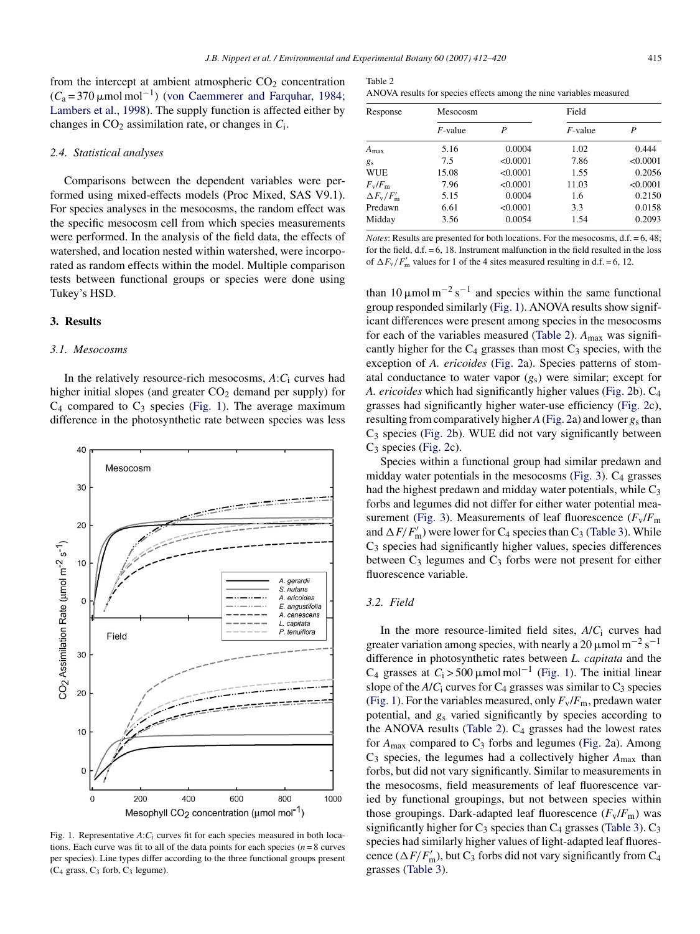<span id="page-3-0"></span>from the intercept at ambient atmospheric  $CO<sub>2</sub>$  concentration  $(C_a = 370 \,\mu\text{mol} \text{ mol}^{-1})$  [\(von Caemmerer and Farquhar, 1984;](#page-8-0) [Lambers et al., 1998\).](#page-8-0) The supply function is affected either by changes in  $CO<sub>2</sub>$  assimilation rate, or changes in  $C<sub>i</sub>$ .

# *2.4. Statistical analyses*

Comparisons between the dependent variables were performed using mixed-effects models (Proc Mixed, SAS V9.1). For species analyses in the mesocosms, the random effect was the specific mesocosm cell from which species measurements were performed. In the analysis of the field data, the effects of watershed, and location nested within watershed, were incorporated as random effects within the model. Multiple comparison tests between functional groups or species were done using Tukey's HSD.

# **3. Results**

## *3.1. Mesocosms*

In the relatively resource-rich mesocosms, *A*:*C*<sup>i</sup> curves had higher initial slopes (and greater  $CO<sub>2</sub>$  demand per supply) for  $C_4$  compared to  $C_3$  species (Fig. 1). The average maximum difference in the photosynthetic rate between species was less

Fig. 1. Representative *A*:*C*<sup>i</sup> curves fit for each species measured in both locations. Each curve was fit to all of the data points for each species ( $n = 8$  curves per species). Line types differ according to the three functional groups present  $(C_4$  grass,  $C_3$  forb,  $C_3$  legume).

| Table 2                                                             |  |  |
|---------------------------------------------------------------------|--|--|
| ANOVA results for species effects among the nine variables measured |  |  |

| Response                      | Mesocosm   |          | Field      |          |  |
|-------------------------------|------------|----------|------------|----------|--|
|                               | $F$ -value | P        | $F$ -value | P        |  |
| $A_{\text{max}}$              | 5.16       | 0.0004   | 1.02       | 0.444    |  |
| $g_S$                         | 7.5        | < 0.0001 | 7.86       | < 0.0001 |  |
| <b>WUE</b>                    | 15.08      | < 0.0001 | 1.55       | 0.2056   |  |
| $F_{\rm v}/F_{\rm m}$         | 7.96       | < 0.0001 | 11.03      | < 0.0001 |  |
| $\Delta F_{\rm v}/F_{\rm m}'$ | 5.15       | 0.0004   | 1.6        | 0.2150   |  |
| Predawn                       | 6.61       | < 0.0001 | 3.3        | 0.0158   |  |
| Midday                        | 3.56       | 0.0054   | 1.54       | 0.2093   |  |

*Notes*: Results are presented for both locations. For the mesocosms, d.f. = 6, 48; for the field,  $d.f. = 6$ , 18. Instrument malfunction in the field resulted in the loss of  $\Delta F_{\rm v}/F_{\rm m}'$  values for 1 of the 4 sites measured resulting in d.f. = 6, 12.

than 10  $\mu$ mol m<sup>-2</sup> s<sup>-1</sup> and species within the same functional group responded similarly (Fig. 1). ANOVA results show significant differences were present among species in the mesocosms for each of the variables measured (Table 2). *A*max was significantly higher for the  $C_4$  grasses than most  $C_3$  species, with the exception of *A. ericoides* [\(Fig. 2a](#page-4-0)). Species patterns of stomatal conductance to water vapor (*g*s) were similar; except for *A. ericoides* which had significantly higher values [\(Fig. 2b\)](#page-4-0). C4 grasses had significantly higher water-use efficiency ([Fig. 2c\)](#page-4-0), resulting from comparatively higher*A*([Fig. 2a\)](#page-4-0) and lower *g*<sup>s</sup> than  $C_3$  species ([Fig. 2b](#page-4-0)). WUE did not vary significantly between  $C_3$  species ([Fig. 2c\)](#page-4-0).

Species within a functional group had similar predawn and midday water potentials in the mesocosms [\(Fig. 3\).](#page-5-0) C4 grasses had the highest predawn and midday water potentials, while  $C_3$ forbs and legumes did not differ for either water potential mea-surement ([Fig. 3\).](#page-5-0) Measurements of leaf fluorescence  $(F_v/F_m)$ and  $\Delta F/F'_{\rm m}$ ) were lower for C<sub>4</sub> species than C<sub>3</sub> ([Table 3\).](#page-5-0) While  $C_3$  species had significantly higher values, species differences between  $C_3$  legumes and  $C_3$  forbs were not present for either fluorescence variable.

# *3.2. Field*

In the more resource-limited field sites, *A*/*C*<sup>i</sup> curves had greater variation among species, with nearly a 20  $\mu$ mol m<sup>-2</sup> s<sup>-1</sup> difference in photosynthetic rates between *L. capitata* and the  $C_4$  grasses at  $C_1 > 500 \mu \text{mol} \text{mol}^{-1}$  (Fig. 1). The initial linear slope of the  $A/C_i$  curves for  $C_4$  grasses was similar to  $C_3$  species (Fig. 1). For the variables measured, only  $F_v/F_m$ , predawn water potential, and *g*<sup>s</sup> varied significantly by species according to the ANOVA results (Table 2).  $C_4$  grasses had the lowest rates for  $A_{\text{max}}$  compared to  $C_3$  forbs and legumes ([Fig. 2a](#page-4-0)). Among C3 species, the legumes had a collectively higher *A*max than forbs, but did not vary significantly. Similar to measurements in the mesocosms, field measurements of leaf fluorescence varied by functional groupings, but not between species within those groupings. Dark-adapted leaf fluorescence  $(F_v/F_m)$  was significantly higher for  $C_3$  species than  $C_4$  grasses ([Table 3\).](#page-5-0)  $C_3$ species had similarly higher values of light-adapted leaf fluorescence ( $\Delta F/F'_{\rm m}$ ), but C<sub>3</sub> forbs did not vary significantly from C<sub>4</sub> grasses [\(Table 3\).](#page-5-0)

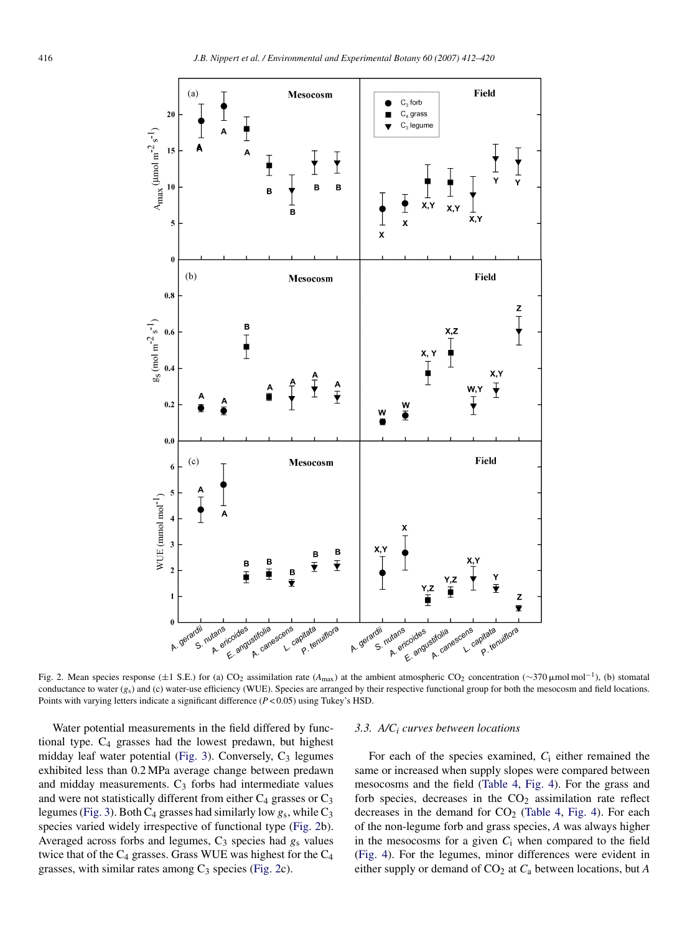<span id="page-4-0"></span>

Fig. 2. Mean species response (±1 S.E.) for (a) CO<sub>2</sub> assimilation rate (*A*<sub>max</sub>) at the ambient atmospheric CO<sub>2</sub> concentration (∼370 µmol mol<sup>-1</sup>), (b) stomatal conductance to water (*g<sub>s</sub>*) and (c) water-use efficiency (WUE). Species are arranged by their respective functional group for both the mesocosm and field locations. Points with varying letters indicate a significant difference (*P* < 0.05) using Tukey's HSD.

Water potential measurements in the field differed by functional type.  $C_4$  grasses had the lowest predawn, but highest midday leaf water potential [\(Fig. 3\).](#page-5-0) Conversely, C<sub>3</sub> legumes exhibited less than 0.2 MPa average change between predawn and midday measurements.  $C_3$  forbs had intermediate values and were not statistically different from either  $C_4$  grasses or  $C_3$ legumes [\(Fig. 3\).](#page-5-0) Both C4 grasses had similarly low *g*s, while C3 species varied widely irrespective of functional type (Fig. 2b). Averaged across forbs and legumes, C<sub>3</sub> species had  $g_s$  values twice that of the  $C_4$  grasses. Grass WUE was highest for the  $C_4$ grasses, with similar rates among  $C_3$  species (Fig. 2c).

## *3.3. A/Ci curves between locations*

For each of the species examined, *C*<sup>i</sup> either remained the same or increased when supply slopes were compared between mesocosms and the field [\(Table 4,](#page-5-0) [Fig. 4\).](#page-6-0) For the grass and forb species, decreases in the  $CO<sub>2</sub>$  assimilation rate reflect decreases in the demand for  $CO<sub>2</sub>$  ([Table 4,](#page-5-0) [Fig. 4\).](#page-6-0) For each of the non-legume forb and grass species, *A* was always higher in the mesocosms for a given *C*<sup>i</sup> when compared to the field [\(Fig. 4\)](#page-6-0). For the legumes, minor differences were evident in either supply or demand of CO2 at *C*<sup>a</sup> between locations, but *A*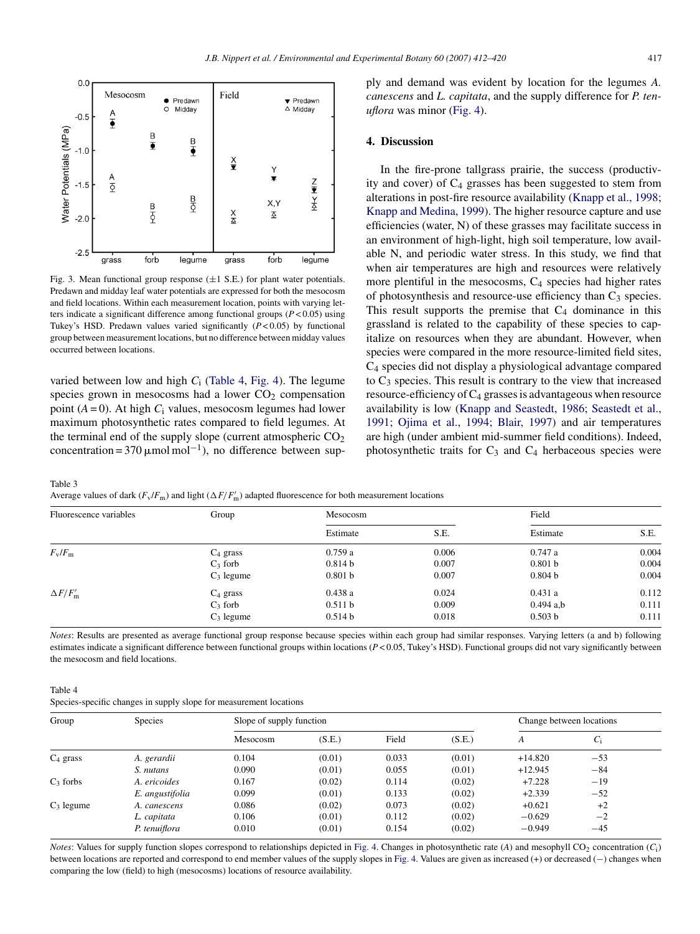<span id="page-5-0"></span>

Fig. 3. Mean functional group response  $(\pm 1 \text{ S.E.})$  for plant water potentials. Predawn and midday leaf water potentials are expressed for both the mesocosm and field locations. Within each measurement location, points with varying letters indicate a significant difference among functional groups (*P* < 0.05) using Tukey's HSD. Predawn values varied significantly  $(P<0.05)$  by functional group between measurement locations, but no difference between midday values occurred between locations.

varied between low and high *C*<sup>i</sup> (Table 4, [Fig. 4\).](#page-6-0) The legume species grown in mesocosms had a lower  $CO<sub>2</sub>$  compensation point  $(A = 0)$ . At high  $C_i$  values, mesocosm legumes had lower maximum photosynthetic rates compared to field legumes. At the terminal end of the supply slope (current atmospheric  $CO<sub>2</sub>$ concentration = 370  $\mu$ mol mol<sup>-1</sup>), no difference between supply and demand was evident by location for the legumes *A. canescens* and *L. capitata*, and the supply difference for *P. tenuflora* was minor [\(Fig. 4\).](#page-6-0)

# **4. Discussion**

In the fire-prone tallgrass prairie, the success (productivity and cover) of  $C_4$  grasses has been suggested to stem from alterations in post-fire resource availability [\(Knapp et al., 1998;](#page-8-0) [Knapp and Medina, 1999\).](#page-8-0) The higher resource capture and use efficiencies (water, N) of these grasses may facilitate success in an environment of high-light, high soil temperature, low available N, and periodic water stress. In this study, we find that when air temperatures are high and resources were relatively more plentiful in the mesocosms,  $C_4$  species had higher rates of photosynthesis and resource-use efficiency than  $C_3$  species. This result supports the premise that  $C_4$  dominance in this grassland is related to the capability of these species to capitalize on resources when they are abundant. However, when species were compared in the more resource-limited field sites, C4 species did not display a physiological advantage compared to  $C_3$  species. This result is contrary to the view that increased resource-efficiency of  $C_4$  grasses is advantageous when resource availability is low ([Knapp and Seastedt, 1986; Seastedt et al.,](#page-8-0) [1991; Ojima et al., 1994; Blair, 1997\)](#page-8-0) and air temperatures are high (under ambient mid-summer field conditions). Indeed, photosynthetic traits for  $C_3$  and  $C_4$  herbaceous species were

Table 3

Average values of dark  $(F_v/F_m)$  and light  $(\Delta F/F'_m)$  adapted fluorescence for both measurement locations

| Fluorescence variables | Group        | Mesocosm |       | Field              |       |
|------------------------|--------------|----------|-------|--------------------|-------|
|                        |              | Estimate | S.E.  | Estimate           | S.E.  |
| $F_{\rm v}/F_{\rm m}$  | $C_4$ grass  | 0.759a   | 0.006 | 0.747a             | 0.004 |
|                        | $C_3$ forb   | 0.814 b  | 0.007 | 0.801 b            | 0.004 |
|                        | $C_3$ legume | 0.801 b  | 0.007 | 0.804 <sub>b</sub> | 0.004 |
| $\Delta F/F_{\rm m}'$  | $C_4$ grass  | 0.438a   | 0.024 | 0.431a             | 0.112 |
|                        | $C_3$ forb   | 0.511 b  | 0.009 | $0.494$ a,b        | 0.111 |
|                        | $C_3$ legume | 0.514 b  | 0.018 | 0.503 b            | 0.111 |

*Notes*: Results are presented as average functional group response because species within each group had similar responses. Varying letters (a and b) following estimates indicate a significant difference between functional groups within locations (*P* < 0.05, Tukey's HSD). Functional groups did not vary significantly between the mesocosm and field locations.

Table 4

Species-specific changes in supply slope for measurement locations

| Group        | <b>Species</b>  | Slope of supply function |        |       |        | Change between locations |       |  |
|--------------|-----------------|--------------------------|--------|-------|--------|--------------------------|-------|--|
|              |                 | Mesocosm                 | (S.E.) | Field | (S.E.) | A                        | $C_i$ |  |
| $C_4$ grass  | A. gerardii     | 0.104                    | (0.01) | 0.033 | (0.01) | $+14.820$                | $-53$ |  |
|              | S. nutans       | 0.090                    | (0.01) | 0.055 | (0.01) | $+12.945$                | $-84$ |  |
| $C_3$ forbs  | A. ericoides    | 0.167                    | (0.02) | 0.114 | (0.02) | $+7.228$                 | $-19$ |  |
|              | E. angustifolia | 0.099                    | (0.01) | 0.133 | (0.02) | $+2.339$                 | $-52$ |  |
| $C_3$ legume | A. canescens    | 0.086                    | (0.02) | 0.073 | (0.02) | $+0.621$                 | $+2$  |  |
|              | L. capitata     | 0.106                    | (0.01) | 0.112 | (0.02) | $-0.629$                 | $-2$  |  |
|              | P. tenuiflora   | 0.010                    | (0.01) | 0.154 | (0.02) | $-0.949$                 | $-45$ |  |

*Notes*: Values for supply function slopes correspond to relationships depicted in [Fig. 4. C](#page-6-0)hanges in photosynthetic rate (*A*) and mesophyll CO<sub>2</sub> concentration (*C*<sub>i</sub>) between locations are reported and correspond to end member values of the supply slopes in [Fig. 4. V](#page-6-0)alues are given as increased (+) or decreased (−) changes when comparing the low (field) to high (mesocosms) locations of resource availability.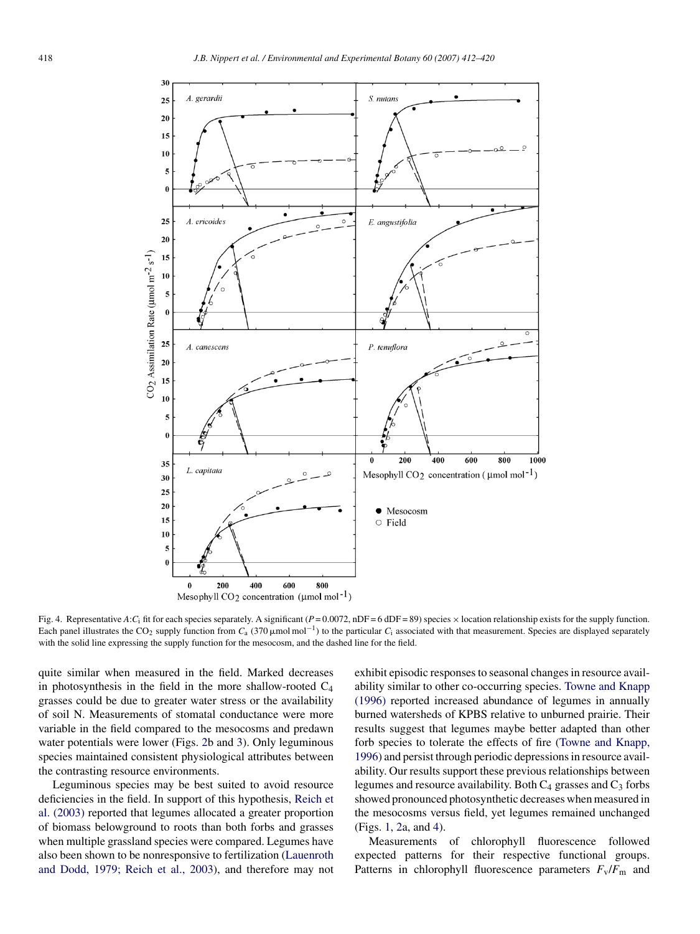<span id="page-6-0"></span>

Fig. 4. Representative *A*:*C*<sub>i</sub> fit for each species separately. A significant ( $P = 0.0072$ , nDF = 6 dDF = 89) species × location relationship exists for the supply function. Each panel illustrates the CO<sub>2</sub> supply function from  $C_a$  (370  $\mu$ mol mol<sup>-1</sup>) to the particular  $C_i$  associated with that measurement. Species are displayed separately with the solid line expressing the supply function for the mesocosm, and the dashed line for the field.

quite similar when measured in the field. Marked decreases in photosynthesis in the field in the more shallow-rooted  $C_4$ grasses could be due to greater water stress or the availability of soil N. Measurements of stomatal conductance were more variable in the field compared to the mesocosms and predawn water potentials were lower (Figs. [2b](#page-4-0) and [3\).](#page-5-0) Only leguminous species maintained consistent physiological attributes between the contrasting resource environments.

Leguminous species may be best suited to avoid resource deficiencies in the field. In support of this hypothesis, [Reich et](#page-8-0) [al. \(2003\)](#page-8-0) reported that legumes allocated a greater proportion of biomass belowground to roots than both forbs and grasses when multiple grassland species were compared. Legumes have also been shown to be nonresponsive to fertilization ([Lauenroth](#page-8-0) [and Dodd, 1979; Reich et al., 2003\),](#page-8-0) and therefore may not exhibit episodic responses to seasonal changes in resource availability similar to other co-occurring species. [Towne and Knapp](#page-8-0) [\(1996\)](#page-8-0) reported increased abundance of legumes in annually burned watersheds of KPBS relative to unburned prairie. Their results suggest that legumes maybe better adapted than other forb species to tolerate the effects of fire ([Towne and Knapp,](#page-8-0) [1996\) a](#page-8-0)nd persist through periodic depressions in resource availability. Our results support these previous relationships between legumes and resource availability. Both  $C_4$  grasses and  $C_3$  forbs showed pronounced photosynthetic decreases when measured in the mesocosms versus field, yet legumes remained unchanged (Figs. [1,](#page-3-0) [2a,](#page-4-0) and 4).

Measurements of chlorophyll fluorescence followed expected patterns for their respective functional groups. Patterns in chlorophyll fluorescence parameters  $F_v/F_m$  and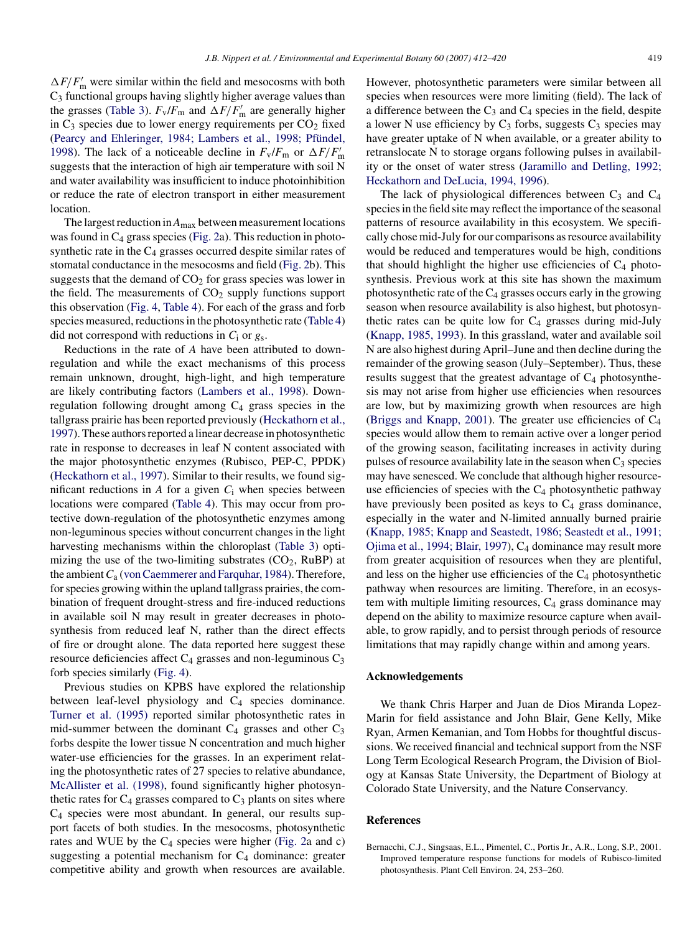<span id="page-7-0"></span> $\Delta F/F'_{\rm m}$  were similar within the field and mesocosms with both C3 functional groups having slightly higher average values than the grasses [\(Table 3\).](#page-5-0)  $F_v/F_m$  and  $\Delta F/F'_m$  are generally higher in  $C_3$  species due to lower energy requirements per  $CO_2$  fixed (Pearcy and Ehleringer, 1984; Lambers et al., 1998; Pfündel, [1998\).](#page-8-0) The lack of a noticeable decline in  $F_v/F_m$  or  $\Delta F/F'_m$ suggests that the interaction of high air temperature with soil N and water availability was insufficient to induce photoinhibition or reduce the rate of electron transport in either measurement location.

The largest reduction in*A*max between measurement locations was found in C<sub>4</sub> grass species [\(Fig. 2a\)](#page-4-0). This reduction in photosynthetic rate in the  $C_4$  grasses occurred despite similar rates of stomatal conductance in the mesocosms and field ([Fig. 2b\)](#page-4-0). This suggests that the demand of  $CO<sub>2</sub>$  for grass species was lower in the field. The measurements of  $CO<sub>2</sub>$  supply functions support this observation [\(Fig. 4,](#page-6-0) [Table 4\).](#page-5-0) For each of the grass and forb species measured, reductions in the photosynthetic rate ([Table 4\)](#page-5-0) did not correspond with reductions in *C*<sup>i</sup> or *g*s.

Reductions in the rate of *A* have been attributed to downregulation and while the exact mechanisms of this process remain unknown, drought, high-light, and high temperature are likely contributing factors [\(Lambers et al., 1998\).](#page-8-0) Downregulation following drought among  $C_4$  grass species in the tallgrass prairie has been reported previously ([Heckathorn et al.,](#page-8-0) [1997\).](#page-8-0) These authors reported a linear decrease in photosynthetic rate in response to decreases in leaf N content associated with the major photosynthetic enzymes (Rubisco, PEP-C, PPDK) ([Heckathorn et al., 1997\).](#page-8-0) Similar to their results, we found significant reductions in  $A$  for a given  $C_i$  when species between locations were compared ([Table 4\).](#page-5-0) This may occur from protective down-regulation of the photosynthetic enzymes among non-leguminous species without concurrent changes in the light harvesting mechanisms within the chloroplast [\(Table 3\)](#page-5-0) optimizing the use of the two-limiting substrates  $(CO<sub>2</sub>, RuBP)$  at the ambient*C*<sup>a</sup> [\(von Caemmerer and Farquhar, 1984\).](#page-8-0) Therefore, for species growing within the upland tallgrass prairies, the combination of frequent drought-stress and fire-induced reductions in available soil N may result in greater decreases in photosynthesis from reduced leaf N, rather than the direct effects of fire or drought alone. The data reported here suggest these resource deficiencies affect  $C_4$  grasses and non-leguminous  $C_3$ forb species similarly [\(Fig. 4\).](#page-6-0)

Previous studies on KPBS have explored the relationship between leaf-level physiology and C<sub>4</sub> species dominance. [Turner et al. \(1995\)](#page-8-0) reported similar photosynthetic rates in mid-summer between the dominant  $C_4$  grasses and other  $C_3$ forbs despite the lower tissue N concentration and much higher water-use efficiencies for the grasses. In an experiment relating the photosynthetic rates of 27 species to relative abundance, [McAllister et al. \(1998\),](#page-8-0) found significantly higher photosynthetic rates for  $C_4$  grasses compared to  $C_3$  plants on sites where C4 species were most abundant. In general, our results support facets of both studies. In the mesocosms, photosynthetic rates and WUE by the  $C_4$  species were higher ([Fig. 2a](#page-4-0) and c) suggesting a potential mechanism for  $C_4$  dominance: greater competitive ability and growth when resources are available.

However, photosynthetic parameters were similar between all species when resources were more limiting (field). The lack of a difference between the  $C_3$  and  $C_4$  species in the field, despite a lower N use efficiency by  $C_3$  forbs, suggests  $C_3$  species may have greater uptake of N when available, or a greater ability to retranslocate N to storage organs following pulses in availability or the onset of water stress [\(Jaramillo and Detling, 1992;](#page-8-0) [Heckathorn and DeLucia, 1994, 1996\).](#page-8-0)

The lack of physiological differences between  $C_3$  and  $C_4$ species in the field site may reflect the importance of the seasonal patterns of resource availability in this ecosystem. We specifically chose mid-July for our comparisons as resource availability would be reduced and temperatures would be high, conditions that should highlight the higher use efficiencies of  $C_4$  photosynthesis. Previous work at this site has shown the maximum photosynthetic rate of the  $C_4$  grasses occurs early in the growing season when resource availability is also highest, but photosynthetic rates can be quite low for  $C_4$  grasses during mid-July ([Knapp, 1985, 1993\).](#page-8-0) In this grassland, water and available soil N are also highest during April–June and then decline during the remainder of the growing season (July–September). Thus, these results suggest that the greatest advantage of  $C_4$  photosynthesis may not arise from higher use efficiencies when resources are low, but by maximizing growth when resources are high ([Briggs and Knapp, 2001\).](#page-8-0) The greater use efficiencies of  $C_4$ species would allow them to remain active over a longer period of the growing season, facilitating increases in activity during pulses of resource availability late in the season when  $C_3$  species may have senesced. We conclude that although higher resourceuse efficiencies of species with the  $C_4$  photosynthetic pathway have previously been posited as keys to  $C_4$  grass dominance, especially in the water and N-limited annually burned prairie ([Knapp, 1985; Knapp and Seastedt, 1986; Seastedt et al., 1991;](#page-8-0) [Ojima et al., 1994; Blair, 1997\),](#page-8-0) C4 dominance may result more from greater acquisition of resources when they are plentiful, and less on the higher use efficiencies of the  $C_4$  photosynthetic pathway when resources are limiting. Therefore, in an ecosystem with multiple limiting resources,  $C_4$  grass dominance may depend on the ability to maximize resource capture when available, to grow rapidly, and to persist through periods of resource limitations that may rapidly change within and among years.

## **Acknowledgements**

We thank Chris Harper and Juan de Dios Miranda Lopez-Marin for field assistance and John Blair, Gene Kelly, Mike Ryan, Armen Kemanian, and Tom Hobbs for thoughtful discussions. We received financial and technical support from the NSF Long Term Ecological Research Program, the Division of Biology at Kansas State University, the Department of Biology at Colorado State University, and the Nature Conservancy.

#### **References**

Bernacchi, C.J., Singsaas, E.L., Pimentel, C., Portis Jr., A.R., Long, S.P., 2001. Improved temperature response functions for models of Rubisco-limited photosynthesis. Plant Cell Environ. 24, 253–260.